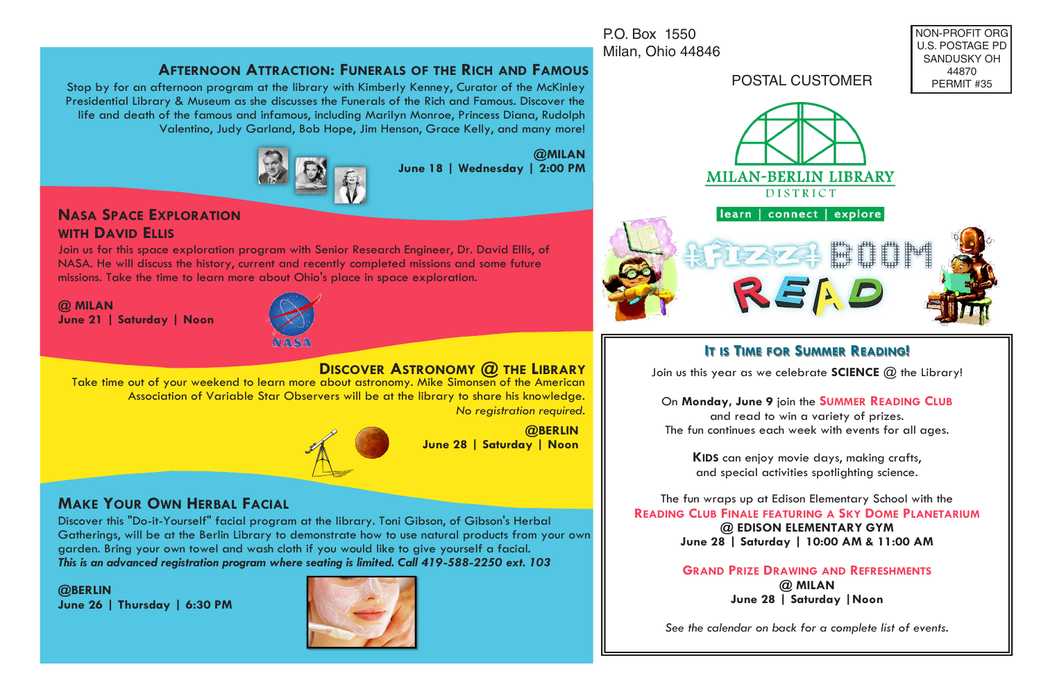P.O. Box 1550 Milan, Ohio 44846

#### **AFTERNOON ATTRACTION: FUNERALS OF THE RICH AND FAMOUS**

Stop by for an afternoon program at the library with Kimberly Kenney, Curator of the McKinley Presidential Library & Museum as she discusses the Funerals of the Rich and Famous. Discover the life and death of the famous and infamous, including Marilyn Monroe, Princess Diana, Rudolph Valentino, Judy Garland, Bob Hope, Jim Henson, Grace Kelly, and many more!



**June 18 | Wednesday | 2:00 PM**

#### **NASA SPACE EXPLORATION WITH DAVID ELLIS**

Join us for this space exploration program with Senior Research Engineer, Dr. David Ellis, of NASA. He will discuss the history, current and recently completed missions and some future missions. Take the time to learn more about Ohio's place in space exploration.

**@ MILAN June 21 | Saturday | Noon**



#### **DISCOVER ASTRONOMY @ THE LIBRARY**

Take time out of your weekend to learn more about astronomy. Mike Simonsen of the American Association of Variable Star Observers will be at the library to share his knowledge. *No registration required.*



**@BERLIN June 28 | Saturday | Noon**

#### **MAKE YOUR OWN HERBAL FACIAL**

Discover this "Do-it-Yourself" facial program at the library. Toni Gibson, of Gibson's Herbal Gatherings, will be at the Berlin Library to demonstrate how to use natural products from your own garden. Bring your own towel and wash cloth if you would like to give yourself a facial. *This is an advanced registration program where seating is limited. Call 419-588-2250 ext. 103* 

**@BERLIN June 26 | Thursday | 6:30 PM**



#### POSTAL CUSTOMER



#### **IT IS TIME FOR SUMMER READING!**

Join us this year as we celebrate **SCIENCE** @ the Library!

On **Monday, June 9** join the **SUMMER READING CLUB** and read to win a variety of prizes. The fun continues each week with events for all ages.

> **KIDS** can enjoy movie days, making crafts, and special activities spotlighting science.

The fun wraps up at Edison Elementary School with the **READING CLUB FINALE FEATURING A SKY DOME PLANETARIUM @ EDISON ELEMENTARY GYM June 28 | Saturday | 10:00 AM & 11:00 AM**

> **GRAND PRIZE DRAWING AND REFRESHMENTS @ MILAN June 28 | Saturday |Noon**

*See the calendar on back for a complete list of events.*

NON-PROFIT ORG U.S. POSTAGE PD SANDUSKY OH 44870 PERMIT #35